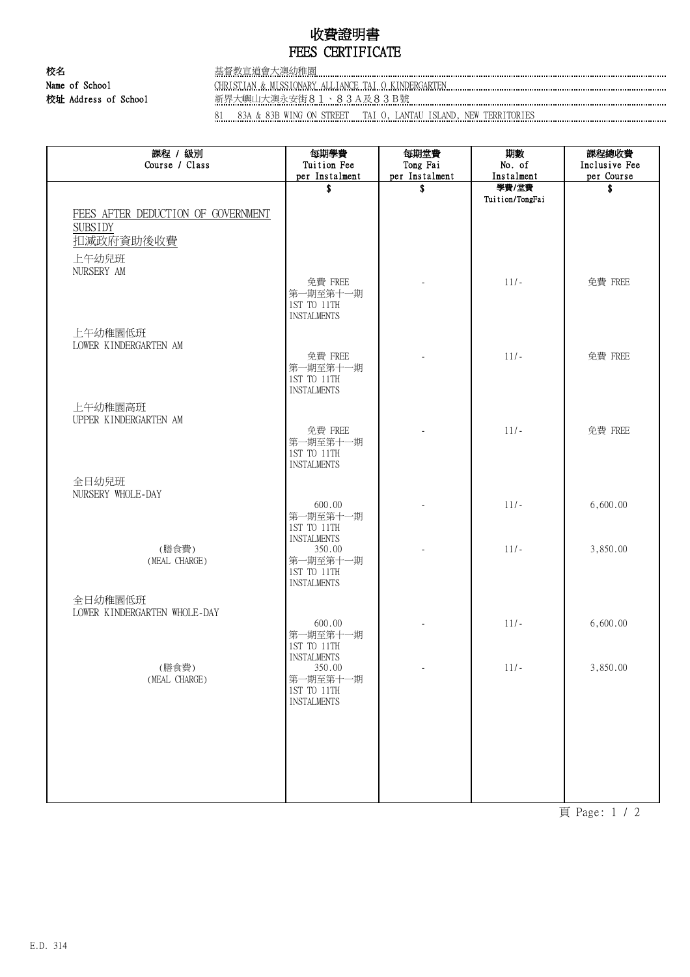# 收費證明書 FEES CERTIFICATE

### 校名 基督教宣道會大澳幼稚園 Name of School CHRISTIAN & MISSIONARY ALLIANCE TAI O KINDERGARTEN CHRISTONIC CHRISTIAN CHRISTIAN CHRISTIAN CHRISTIAN CHRISTIAN CHRISTIAN CHRISTIAN CHRISTIAN CHRISTIAN CHRISTIAN CHRISTIAN CHRISTIAN CHRISTIAN CHRISTIAN CHRIS 校址 Address of School 新界大嶼山大澳永安街81、83A及83B號

81 83A & 83B WING ON STREET TAI O, LANTAU ISLAND, NEW TERRITORIES

| 課程 / 級別<br>Course / Class               | 每期學費<br>Tuition Fee               | 每期堂費<br>Tong Fai     | 期數<br>No. of        | 課程總收費<br>Inclusive Fee |
|-----------------------------------------|-----------------------------------|----------------------|---------------------|------------------------|
|                                         | per Instalment<br>\$              | per Instalment<br>\$ | Instalment<br>學費/堂費 | per Course<br>\$       |
|                                         |                                   |                      | Tuition/TongFai     |                        |
| FEES AFTER DEDUCTION OF GOVERNMENT      |                                   |                      |                     |                        |
| <b>SUBSIDY</b>                          |                                   |                      |                     |                        |
| 扣減政府資助後收費                               |                                   |                      |                     |                        |
| 上午幼兒班<br>NURSERY AM                     |                                   |                      |                     |                        |
|                                         | 免費 FREE                           |                      | $11/-$              | 免費 FREE                |
|                                         | 第一期至第十一期<br>1ST TO 11TH           |                      |                     |                        |
|                                         | <b>INSTALMENTS</b>                |                      |                     |                        |
| 上午幼稚園低班                                 |                                   |                      |                     |                        |
| LOWER KINDERGARTEN AM                   | 免費 FREE                           |                      | $11/-$              | 免費 FREE                |
|                                         | 第一期至第十一期                          |                      |                     |                        |
|                                         | 1ST TO 11TH<br><b>INSTALMENTS</b> |                      |                     |                        |
| 上午幼稚園高班                                 |                                   |                      |                     |                        |
| UPPER KINDERGARTEN AM                   |                                   |                      |                     |                        |
|                                         | 免費 FREE<br>第一期至第十一期               |                      | $11/-$              | 免費 FREE                |
|                                         | 1ST TO 11TH                       |                      |                     |                        |
|                                         | <b>INSTALMENTS</b>                |                      |                     |                        |
| 全日幼兒班<br>NURSERY WHOLE-DAY              |                                   |                      |                     |                        |
|                                         | 600.00                            |                      | $11/-$              | 6,600.00               |
|                                         | 第一期至第十一期<br>1ST TO 11TH           |                      |                     |                        |
|                                         | <b>INSTALMENTS</b>                |                      |                     |                        |
| (膳食費)<br>(MEAL CHARGE)                  | 350.00<br>第一期至第十一期                |                      | $11/-$              | 3,850.00               |
|                                         | 1ST TO 11TH                       |                      |                     |                        |
|                                         | <b>INSTALMENTS</b>                |                      |                     |                        |
| 全日幼稚園低班<br>LOWER KINDERGARTEN WHOLE-DAY |                                   |                      |                     |                        |
|                                         | 600.00                            |                      | $11/-$              | 6,600.00               |
|                                         | 第一期至第十一期<br>1ST TO 11TH           |                      |                     |                        |
| (膳食費)                                   | <b>INSTALMENTS</b><br>350.00      |                      | $11/-$              | 3,850.00               |
| (MEAL CHARGE)                           | 第一期至第十一期                          |                      |                     |                        |
|                                         | 1ST TO 11TH<br><b>INSTALMENTS</b> |                      |                     |                        |
|                                         |                                   |                      |                     |                        |
|                                         |                                   |                      |                     |                        |
|                                         |                                   |                      |                     |                        |
|                                         |                                   |                      |                     |                        |
|                                         |                                   |                      |                     |                        |
|                                         |                                   |                      |                     |                        |

頁 Page: 1 / 2